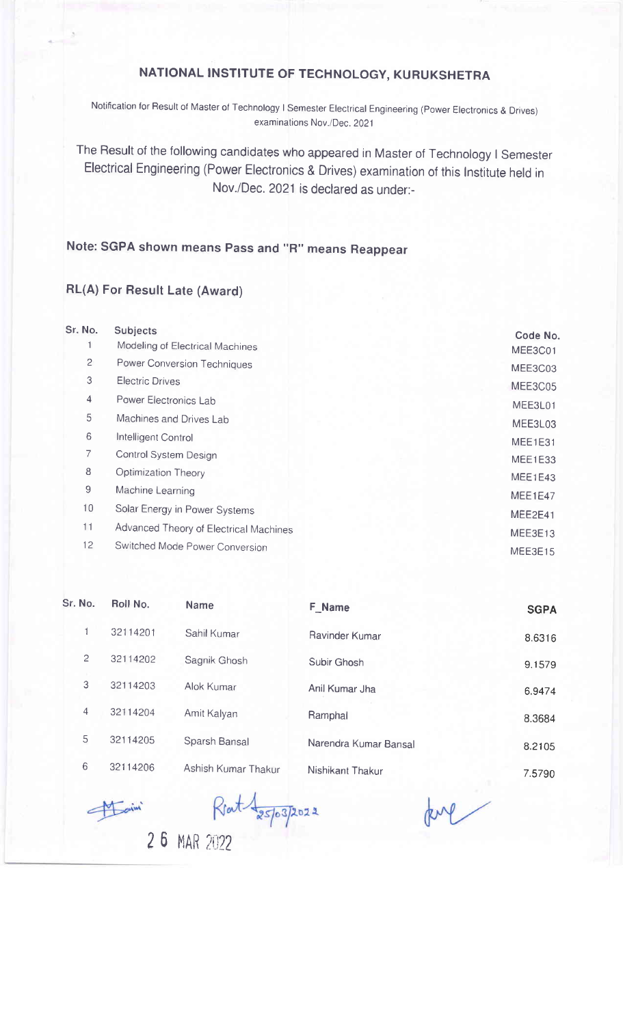## NATIONAL INSTITUTE OF TECHNOLOGY, KURUKSHETRA

Notification for Result ot Master of Technology I Semester Electrical Engineering (Power Electronics & Drives) examinations Nov./Dec. 202i

The Result of the following candidates who appeared in Master of Technology I Semester Electrical Engineering (Power Electronics & Drives) examination of this lnstitute held in Nov./Dec. 2021 is declared as under:-

## Note: SGPA shown means Pass and "R" means Reappear

## RL(A) For Result Late (Award)

| Sr. No.         | <b>Subjects</b>                        | Code No.       |
|-----------------|----------------------------------------|----------------|
|                 | Modeling of Electrical Machines        | MEE3C01        |
| $\overline{c}$  | Power Conversion Techniques            | MEE3C03        |
| 3               | <b>Electric Drives</b>                 | MEE3C05        |
| $\overline{4}$  | Power Electronics Lab                  | MEE3L01        |
| 5               | Machines and Drives Lab                | MEE3L03        |
| 6               | Intelligent Control                    | MEE1E31        |
| 7               | Control System Design                  | MEE1E33        |
| 8               | Optimization Theory                    | MEE1E43        |
| 9               | Machine Learning                       | <b>MEE1E47</b> |
| 10              | Solar Energy in Power Systems          | MEE2E41        |
| 11              | Advanced Theory of Electrical Machines | MEE3E13        |
| 12 <sup>2</sup> | Switched Mode Power Conversion         | MEE3E15        |
|                 |                                        |                |

| Sr. No.        | Roll No. | <b>Name</b>         | F Name                | <b>SGPA</b> |
|----------------|----------|---------------------|-----------------------|-------------|
|                | 32114201 | Sahil Kumar         | Ravinder Kumar        | 8.6316      |
| $\overline{c}$ | 32114202 | Sagnik Ghosh        | Subir Ghosh           | 9.1579      |
| 3              | 32114203 | Alok Kumar          | Anil Kumar Jha        | 6.9474      |
| $\overline{4}$ | 32114204 | Amit Kalyan         | Ramphal               | 8.3684      |
| 5              | 32114205 | Sparsh Bansal       | Narendra Kumar Bansal | 8.2105      |
| 6              | 32114206 | Ashish Kumar Thakur | Nishikant Thakur      | 7.5790      |

 $R_{\text{part}}$ <br>2 6 MAR 2022

ful